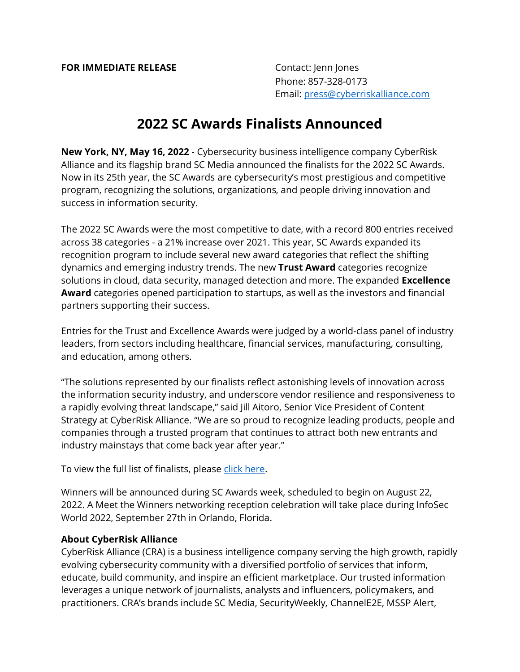Phone: 857-328-0173 Email: [press@cyberriskalliance.com](mailto:press@cyberriskalliance.com)

## **2022 SC Awards Finalists Announced**

**New York, NY, May 16, 2022** - Cybersecurity business intelligence company CyberRisk Alliance and its flagship brand SC Media announced the finalists for the 2022 SC Awards. Now in its 25th year, the SC Awards are cybersecurity's most prestigious and competitive program, recognizing the solutions, organizations, and people driving innovation and success in information security.

The 2022 SC Awards were the most competitive to date, with a record 800 entries received across 38 categories - a 21% increase over 2021. This year, SC Awards expanded its recognition program to include several new award categories that reflect the shifting dynamics and emerging industry trends. The new **Trust Award** categories recognize solutions in cloud, data security, managed detection and more. The expanded **Excellence Award** categories opened participation to startups, as well as the investors and financial partners supporting their success.

Entries for the Trust and Excellence Awards were judged by a world-class panel of industry leaders, from sectors including healthcare, financial services, manufacturing, consulting, and education, among others.

"The solutions represented by our finalists reflect astonishing levels of innovation across the information security industry, and underscore vendor resilience and responsiveness to a rapidly evolving threat landscape," said Jill Aitoro, Senior Vice President of Content Strategy at CyberRisk Alliance. "We are so proud to recognize leading products, people and companies through a trusted program that continues to attract both new entrants and industry mainstays that come back year after year."

To view the full list of finalists, please [click here.](https://www.scmagazine.com/sc-awards)

Winners will be announced during SC Awards week, scheduled to begin on August 22, 2022. A Meet the Winners networking reception celebration will take place during InfoSec World 2022, September 27th in Orlando, Florida.

## **About CyberRisk Alliance**

CyberRisk Alliance (CRA) is a business intelligence company serving the high growth, rapidly evolving cybersecurity community with a diversified portfolio of services that inform, educate, build community, and inspire an efficient marketplace. Our trusted information leverages a unique network of journalists, analysts and influencers, policymakers, and practitioners. CRA's brands include SC Media, SecurityWeekly, ChannelE2E, MSSP Alert,